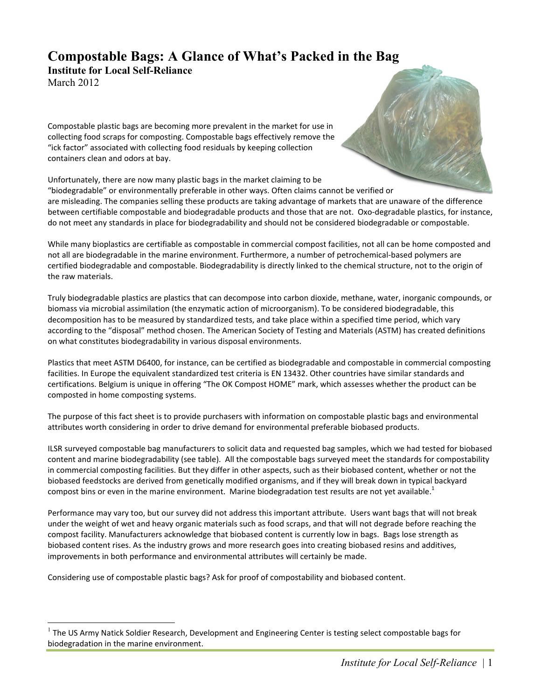# **Compostable Bags: A Glance of What's Packed in the Bag**

**Institute for Local Self-Reliance** March 2012

Compostable plastic bags are becoming more prevalent in the market for use in collecting
food
scraps
for
composting.
Compostable
bags
effectively
remove
the "ick
factor"
associated
with
collecting
food
residuals
by
keeping
collection containers
clean
and
odors
at
bay.

Unfortunately, there are now many plastic bags in the market claiming to be

"biodegradable" or environmentally preferable in other ways. Often claims cannot be verified or are misleading. The companies selling these products are taking advantage of markets that are unaware of the difference between certifiable compostable and biodegradable products and those that are not. Oxo-degradable plastics, for instance, do
not
meet
any
standards
in
place
for
biodegradability
and
should
not
be
considered
biodegradable or
compostable.

While many bioplastics are certifiable as compostable in commercial compost facilities, not all can be home composted and not
all
are
biodegradable
in
the
marine
environment.
Furthermore,
a
number
of
petrochemical‐based
polymers
are certified biodegradable and compostable. Biodegradability is directly linked to the chemical structure, not to the origin of the
raw
materials.

Truly biodegradable plastics are plastics that can decompose into carbon dioxide, methane, water, inorganic compounds, or biomass via microbial assimilation (the enzymatic action of microorganism). To be considered biodegradable, this decomposition has to be measured by standardized tests, and take place within a specified time period, which vary according to the "disposal" method chosen. The American Society of Testing and Materials (ASTM) has created definitions on
what
constitutes
biodegradability
in
various
disposal
environments.

Plastics that meet ASTM D6400, for instance, can be certified as biodegradable and compostable in commercial composting facilities. In Europe the equivalent standardized test criteria is EN 13432. Other countries have similar standards and certifications. Belgium is unique in offering "The OK Compost HOME" mark, which assesses whether the product can be composted
in
home
composting
systems.

The purpose of this fact sheet is to provide purchasers with information on compostable plastic bags and environmental attributes
worth
considering
in
order
to
drive
demand
for
environmental
preferable
biobased
products.

ILSR
surveyed
compostable
bag
manufacturers
to
solicit
data
and
requested
bag
samples,
which
we
had
tested
for
biobased content and marine biodegradability (see table). All the compostable bags surveyed meet the standards for compostability in commercial composting facilities. But they differ in other aspects, such as their biobased content, whether or not the biobased feedstocks are derived from genetically modified organisms, and if they will break down in typical backyard compost bins or even in the marine environment. Marine biodegradation test results are not yet available.<sup>1</sup>

Performance may vary too, but our survey did not address this important attribute. Users want bags that will not break under the weight of wet and heavy organic materials such as food scraps, and that will not degrade before reaching the compost facility. Manufacturers acknowledge that biobased content is currently low in bags. Bags lose strength as biobased
content
rises.
As
the
industry
grows
and
more
research
goes
into
creating
biobased
resins
and
additives, improvements in both performance and environmental attributes will certainly be made.

Considering use of compostable plastic bags? Ask for proof of compostability and biobased content.

The US Army Natick Soldier Research, Development and Engineering Center is testing select compostable bags for biodegradation
in
the
marine
environment.

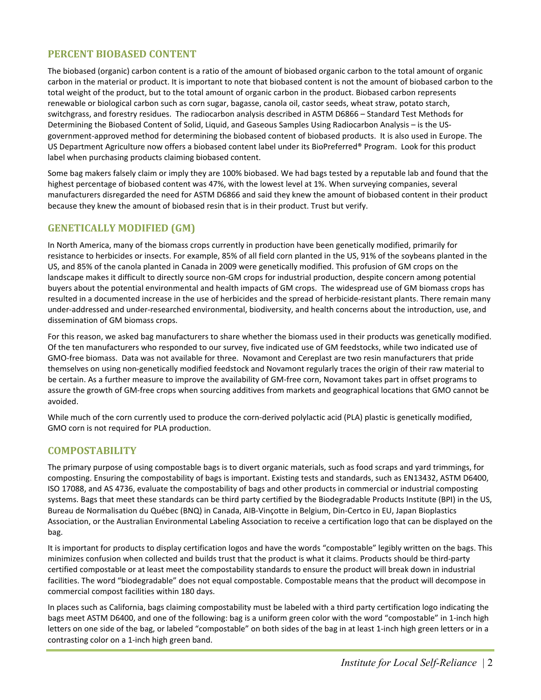#### **PERCENT
BIOBASED
CONTENT**

The biobased (organic) carbon content is a ratio of the amount of biobased organic carbon to the total amount of organic carbon in the material or product. It is important to note that biobased content is not the amount of biobased carbon to the total weight of the product, but to the total amount of organic carbon in the product. Biobased carbon represents renewable or biological carbon such as corn sugar, bagasse, canola oil, castor seeds, wheat straw, potato starch, switchgrass,
and
forestry
residues.

The
radiocarbon
analysis
described
in
ASTM
D6866
– Standard
Test
Methods
for Determining the Biobased Content of Solid, Liquid, and Gaseous Samples Using Radiocarbon Analysis - is the USgovernment-approved method for determining the biobased content of biobased products. It is also used in Europe. The US Department Agriculture now offers a biobased content label under its BioPreferred® Program. Look for this product label
when
purchasing
products
claiming
biobased
content.

Some bag makers falsely claim or imply they are 100% biobased. We had bags tested by a reputable lab and found that the highest percentage of biobased content was 47%, with the lowest level at 1%. When surveying companies, several manufacturers disregarded the need for ASTM D6866 and said they knew the amount of biobased content in their product because they knew the amount of biobased resin that is in their product. Trust but verify.

#### **GENETICALLY
MODIFIED
(GM)**

In North America, many of the biomass crops currently in production have been genetically modified, primarily for resistance to herbicides or insects. For example, 85% of all field corn planted in the US, 91% of the soybeans planted in the US, and 85% of the canola planted in Canada in 2009 were genetically modified. This profusion of GM crops on the landscape makes it difficult to directly source non-GM crops for industrial production, despite concern among potential buyers about the potential environmental and health impacts of GM crops. The widespread use of GM biomass crops has resulted in a documented increase in the use of herbicides and the spread of herbicide-resistant plants. There remain many under-addressed and under-researched environmental, biodiversity, and health concerns about the introduction, use, and dissemination
of
GM
biomass
crops.

For this reason, we asked bag manufacturers to share whether the biomass used in their products was genetically modified. Of the ten manufacturers who responded to our survey, five indicated use of GM feedstocks, while two indicated use of GMO-free biomass. Data was not available for three. Novamont and Cereplast are two resin manufacturers that pride themselves on using non-genetically modified feedstock and Novamont regularly traces the origin of their raw material to be certain. As a further measure to improve the availability of GM-free corn, Novamont takes part in offset programs to assure the growth of GM-free crops when sourcing additives from markets and geographical locations that GMO cannot be avoided.

While much of the corn currently used to produce the corn-derived polylactic acid (PLA) plastic is genetically modified, GMO
corn
is
not
required
for
PLA
production.

#### **COMPOSTABILITY**

The primary purpose of using compostable bags is to divert organic materials, such as food scraps and yard trimmings, for composting. Ensuring the compostability of bags is important. Existing tests and standards, such as EN13432, ASTM D6400, ISO
17088,
and
AS
4736,
evaluate
the
compostability
of
bags
and
other
products
in
commercial
or
industrial
composting systems. Bags that meet these standards can be third party certified by the Biodegradable Products Institute (BPI) in the US, Bureau
de
Normalisation
du
Québec
(BNQ)
in
Canada, AIB‐Vinçotte
in
Belgium,
Din‐Certco
in
EU,
Japan
Bioplastics Association, or the Australian Environmental Labeling Association to receive a certification logo that can be displayed on the bag.

It is important for products to display certification logos and have the words "compostable" legibly written on the bags. This minimizes confusion when collected and builds trust that the product is what it claims. Products should be third-party certified compostable or at least meet the compostability standards to ensure the product will break down in industrial facilities. The word "biodegradable" does not equal compostable. Compostable means that the product will decompose in commercial
compost
facilities
within
180
days.

In places such as California, bags claiming compostability must be labeled with a third party certification logo indicating the bags meet ASTM D6400, and one of the following: bag is a uniform green color with the word "compostable" in 1-inch high letters on one side of the bag, or labeled "compostable" on both sides of the bag in at least 1-inch high green letters or in a contrasting
color
on
a
1‐inch
high
green
band.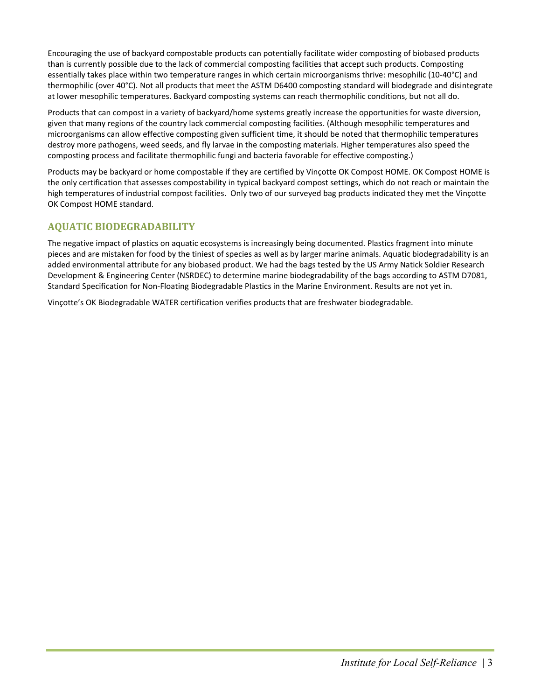Encouraging the use of backyard compostable products can potentially facilitate wider composting of biobased products than is currently possible due to the lack of commercial composting facilities that accept such products. Composting essentially takes place within two temperature ranges in which certain microorganisms thrive: mesophilic (10-40°C) and thermophilic (over 40°C). Not all products that meet the ASTM D6400 composting standard will biodegrade and disintegrate at lower mesophilic temperatures. Backyard composting systems can reach thermophilic conditions, but not all do.

Products that can compost in a variety of backyard/home systems greatly increase the opportunities for waste diversion, given that many regions of the country lack commercial composting facilities. (Although mesophilic temperatures and microorganisms
can
allow
effective
composting
given
sufficient
time,
it
should
be
noted
that
thermophilic
temperatures destroy more pathogens, weed seeds, and fly larvae in the composting materials. Higher temperatures also speed the composting
process
and
facilitate
thermophilic
fungi
and
bacteria
favorable
for
effective
composting.)

Products may be backyard or home compostable if they are certified by Vinçotte OK Compost HOME. OK Compost HOME is the only certification that assesses compostability in typical backyard compost settings, which do not reach or maintain the high temperatures of industrial compost facilities. Only two of our surveyed bag products indicated they met the Vinçotte OK
Compost
HOME
standard.

### **AQUATIC
BIODEGRADABILITY**

The negative impact of plastics on aquatic ecosystems is increasingly being documented. Plastics fragment into minute pieces and are mistaken for food by the tiniest of species as well as by larger marine animals. Aquatic biodegradability is an added environmental attribute for any biobased product. We had the bags tested by the US Army Natick Soldier Research Development & Engineering Center (NSRDEC) to determine marine biodegradability of the bags according to ASTM D7081, Standard Specification for Non-Floating Biodegradable Plastics in the Marine Environment. Results are not yet in.

Vinçotte's
OK
Biodegradable
WATER
certification
verifies
products
that
are
freshwater
biodegradable.